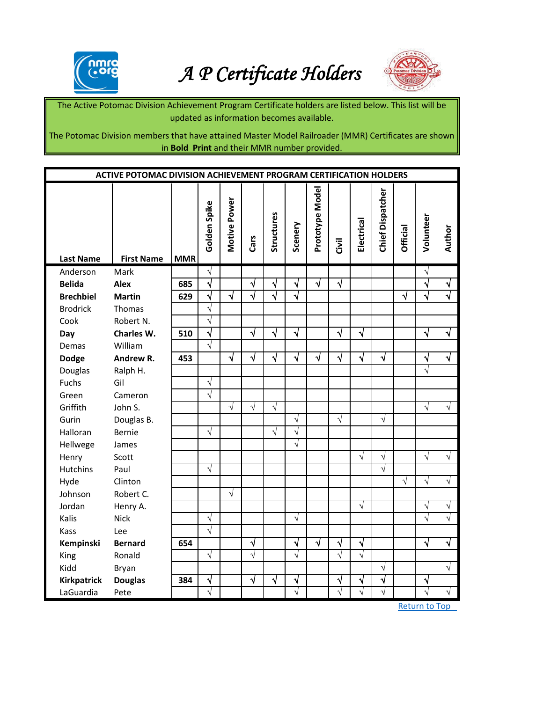

## *A P Certificate Holders*



The Active Potomac Division Achievement Program Certificate holders are listed below. This list will be updated as information becomes available.

The Potomac Division members that have attained Master Model Railroader (MMR) Certificates are shown in **Bold Print** and their MMR number provided.

| <b>ACTIVE POTOMAC DIVISION ACHIEVEMENT PROGRAM CERTIFICATION HOLDERS</b> |                   |            |                       |              |           |            |            |                 |            |            |                  |                 |            |            |
|--------------------------------------------------------------------------|-------------------|------------|-----------------------|--------------|-----------|------------|------------|-----------------|------------|------------|------------------|-----------------|------------|------------|
| <b>Last Name</b>                                                         | <b>First Name</b> | <b>MMR</b> | Golden Spike          | Motive Power | Cars      | Structures | Scenery    | Prototype Model | Civil      | Electrical | Chief Dispatcher | <b>Official</b> | Volunteer  | Author     |
| Anderson                                                                 | Mark              |            | $\sqrt{}$             |              |           |            |            |                 |            |            |                  |                 | $\sqrt{}$  |            |
| <b>Belida</b>                                                            | <b>Alex</b>       | 685        | √                     |              | √         | $\sqrt{}$  | $\sqrt{}$  | $\sqrt{ }$      | $\sqrt{ }$ |            |                  |                 | √          |            |
| <b>Brechbiel</b>                                                         | <b>Martin</b>     | 629        | $\sqrt{}$             | √            | √         | $\sqrt{ }$ | $\sqrt{ }$ |                 |            |            |                  | V               | V          |            |
| <b>Brodrick</b>                                                          | Thomas            |            | $\sqrt{}$             |              |           |            |            |                 |            |            |                  |                 |            |            |
| Cook                                                                     | Robert N.         |            | $\sqrt{}$             |              |           |            |            |                 |            |            |                  |                 |            |            |
| Day                                                                      | Charles W.        | 510        | $\sqrt{}$             |              | $\sqrt{}$ | √          | $\sqrt{}$  |                 | √          | √          |                  |                 | √          | √          |
| Demas                                                                    | William           |            | $\overline{\sqrt{} }$ |              |           |            |            |                 |            |            |                  |                 |            |            |
| <b>Dodge</b>                                                             | Andrew R.         | 453        |                       | $\sqrt{ }$   | $\sqrt{}$ | $\sqrt{}$  | $\sqrt{}$  | $\sqrt{ }$      | $\sqrt{}$  | $\sqrt{ }$ | $\sqrt{}$        |                 | $\sqrt{}$  | $\sqrt{ }$ |
| Douglas                                                                  | Ralph H.          |            |                       |              |           |            |            |                 |            |            |                  |                 | $\sqrt{}$  |            |
| Fuchs                                                                    | Gil               |            | $\sqrt{}$             |              |           |            |            |                 |            |            |                  |                 |            |            |
| Green                                                                    | Cameron           |            | $\sqrt{}$             |              |           |            |            |                 |            |            |                  |                 |            |            |
| Griffith                                                                 | John S.           |            |                       | $\sqrt{}$    | $\sqrt{}$ | $\sqrt{}$  |            |                 |            |            |                  |                 | $\sqrt{}$  | $\sqrt{}$  |
| Gurin                                                                    | Douglas B.        |            |                       |              |           |            | $\sqrt{}$  |                 | $\sqrt{ }$ |            | $\sqrt{}$        |                 |            |            |
| Halloran                                                                 | <b>Bernie</b>     |            | $\sqrt{}$             |              |           | $\sqrt{ }$ | $\sqrt{}$  |                 |            |            |                  |                 |            |            |
| Hellwege                                                                 | James             |            |                       |              |           |            | $\sqrt{}$  |                 |            |            |                  |                 |            |            |
| Henry                                                                    | Scott             |            |                       |              |           |            |            |                 |            | $\sqrt{}$  | $\sqrt{}$        |                 | $\sqrt{}$  | $\sqrt{ }$ |
| <b>Hutchins</b>                                                          | Paul              |            | $\sqrt{}$             |              |           |            |            |                 |            |            | $\sqrt{ }$       |                 |            |            |
| Hyde                                                                     | Clinton           |            |                       |              |           |            |            |                 |            |            |                  | $\sqrt{ }$      | $\sqrt{ }$ | $\sqrt{ }$ |
| Johnson                                                                  | Robert C.         |            |                       | $\sqrt{}$    |           |            |            |                 |            |            |                  |                 |            |            |
| Jordan                                                                   | Henry A.          |            |                       |              |           |            |            |                 |            | $\sqrt{}$  |                  |                 | V          |            |
| Kalis                                                                    | <b>Nick</b>       |            | $\sqrt{}$             |              |           |            | $\sqrt{}$  |                 |            |            |                  |                 | $\sqrt{}$  | $\sqrt{}$  |
| Kass                                                                     | Lee               |            | $\sqrt{}$             |              |           |            |            |                 |            |            |                  |                 |            |            |
| Kempinski                                                                | <b>Bernard</b>    | 654        |                       |              | $\sqrt{}$ |            | $\sqrt{}$  | $\sqrt{ }$      | $\sqrt{}$  | $\sqrt{}$  |                  |                 | $\sqrt{}$  | J          |
| King                                                                     | Ronald            |            | $\sqrt{ }$            |              | $\sqrt{}$ |            | $\sqrt{ }$ |                 | $\sqrt{}$  | $\sqrt{}$  |                  |                 |            |            |
| Kidd                                                                     | Bryan             |            |                       |              |           |            |            |                 |            |            | $\sqrt{}$        |                 |            |            |
| <b>Kirkpatrick</b>                                                       | <b>Douglas</b>    | 384        | $\sqrt{}$             |              | $\sqrt{}$ | $\sqrt{}$  | $\sqrt{}$  |                 | √          | ٦          | √                |                 | $\sqrt{}$  |            |
| LaGuardia                                                                | Pete              |            | $\sqrt{}$             |              |           |            |            |                 | J          |            | $\sqrt{}$        |                 | V          |            |

Return to Top